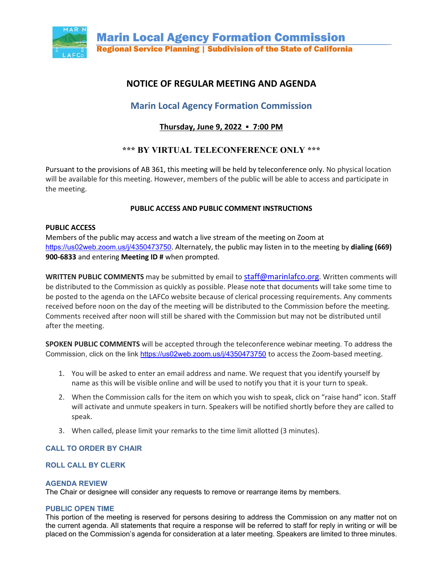

# **NOTICE OF REGULAR MEETING AND AGENDA**

# **Marin Local Agency Formation Commission**

# **Thursday, June 9, 2022 ▪ 7:00 PM**

# **\*\*\* BY VIRTUAL TELECONFERENCE ONLY \*\*\***

Pursuant to the provisions of AB 361, this meeting will be held by teleconference only. No physical location will be available for this meeting. However, members of the public will be able to access and participate in the meeting.

# **PUBLIC ACCESS AND PUBLIC COMMENT INSTRUCTIONS**

# **PUBLIC ACCESS**

Members of the public may access and watch a live stream of the meeting on Zoom at <https://us02web.zoom.us/j/4350473750>. Alternately, the public may listen in to the meeting by **dialing (669) 900-6833** and entering **Meeting ID #** when prompted.

**WRITTEN PUBLIC COMMENTS** may be submitted by email to [staff@marinlafco.org.](mailto:staff@marinlafco.org) Written comments will be distributed to the Commission as quickly as possible. Please note that documents will take some time to be posted to the agenda on the LAFCo website because of clerical processing requirements. Any comments received before noon on the day of the meeting will be distributed to the Commission before the meeting. Comments received after noon will still be shared with the Commission but may not be distributed until after the meeting.

**SPOKEN PUBLIC COMMENTS** will be accepted through the teleconference webinar meeting. To address the Commission, click on the link<https://us02web.zoom.us/j/4350473750> to access the Zoom-based meeting.

- 1. You will be asked to enter an email address and name. We request that you identify yourself by name as this will be visible online and will be used to notify you that it is your turn to speak.
- 2. When the Commission calls for the item on which you wish to speak, click on "raise hand" icon. Staff will activate and unmute speakers in turn. Speakers will be notified shortly before they are called to speak.
- 3. When called, please limit your remarks to the time limit allotted (3 minutes).

# **CALL TO ORDER BY CHAIR**

# **ROLL CALL BY CLERK**

# **AGENDA REVIEW**

The Chair or designee will consider any requests to remove or rearrange items by members.

### **PUBLIC OPEN TIME**

This portion of the meeting is reserved for persons desiring to address the Commission on any matter not on the current agenda. All statements that require a response will be referred to staff for reply in writing or will be placed on the Commission's agenda for consideration at a later meeting. Speakers are limited to three minutes.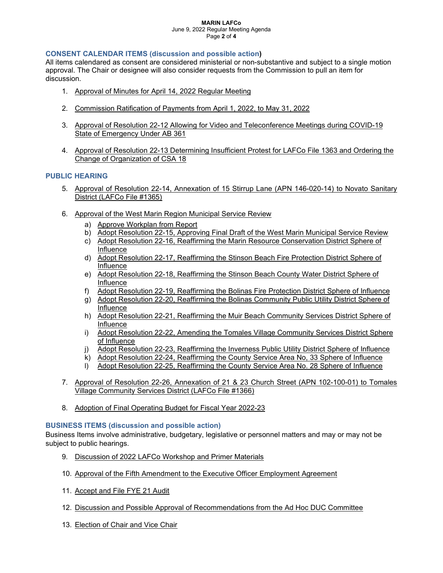#### **MARIN LAFCo** June 9, 2022 Regular Meeting Agenda Page **2** of **4**

### **CONSENT CALENDAR ITEMS (discussion and possible action)**

All items calendared as consent are considered ministerial or non-substantive and subject to a single motion approval. The Chair or designee will also consider requests from the Commission to pull an item for discussion.

- 1. Approval of Minutes for April 14, 2022 Regular Meeting
- 2. Commission Ratification of Payments from April 1, 2022, to May 31, 2022
- 3. Approval of Resolution 22-12 Allowing for Video and Teleconference Meetings during COVID-19 State of Emergency Under AB 361
- 4. Approval of Resolution 22-13 Determining Insufficient Protest for LAFCo File 1363 and Ordering the Change of Organization of CSA 18

### **PUBLIC HEARING**

- 5. Approval of Resolution 22-14, Annexation of 15 Stirrup Lane (APN 146-020-14) to Novato Sanitary District (LAFCo File #1365)
- 6. Approval of the West Marin Region Municipal Service Review
	- a) Approve Workplan from Report
	- b) Adopt Resolution 22-15, Approving Final Draft of the West Marin Municipal Service Review
	- c) Adopt Resolution 22-16, Reaffirming the Marin Resource Conservation District Sphere of Influence
	- d) Adopt Resolution 22-17, Reaffirming the Stinson Beach Fire Protection District Sphere of Influence
	- e) Adopt Resolution 22-18, Reaffirming the Stinson Beach County Water District Sphere of Influence
	- f) Adopt Resolution 22-19, Reaffirming the Bolinas Fire Protection District Sphere of Influence
	- g) Adopt Resolution 22-20, Reaffirming the Bolinas Community Public Utility District Sphere of Influence
	- h) Adopt Resolution 22-21, Reaffirming the Muir Beach Community Services District Sphere of Influence
	- i) Adopt Resolution 22-22, Amending the Tomales Village Community Services District Sphere of Influence
	- j) Adopt Resolution 22-23, Reaffirming the Inverness Public Utility District Sphere of Influence
	- k) Adopt Resolution 22-24, Reaffirming the County Service Area No, 33 Sphere of Influence
	- l) Adopt Resolution 22-25, Reaffirming the County Service Area No. 28 Sphere of Influence
- 7. Approval of Resolution 22-26, Annexation of 21 & 23 Church Street (APN 102-100-01) to Tomales Village Community Services District (LAFCo File #1366)
- 8. Adoption of Final Operating Budget for Fiscal Year 2022-23

### **BUSINESS ITEMS (discussion and possible action)**

Business Items involve administrative, budgetary, legislative or personnel matters and may or may not be subject to public hearings.

- 9. Discussion of 2022 LAFCo Workshop and Primer Materials
- 10. Approval of the Fifth Amendment to the Executive Officer Employment Agreement
- 11. Accept and File FYE 21 Audit
- 12. Discussion and Possible Approval of Recommendations from the Ad Hoc DUC Committee
- 13. Election of Chair and Vice Chair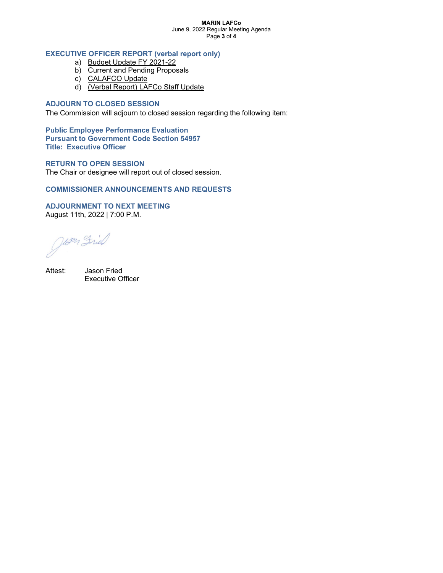#### **MARIN LAFCo** June 9, 2022 Regular Meeting Agenda Page **3** of **4**

## **EXECUTIVE OFFICER REPORT (verbal report only)**

- a) Budget Update FY 2021-22
- b) Current and Pending Proposals
- c) CALAFCO Update
- d) (Verbal Report) LAFCo Staff Update

### **ADJOURN TO CLOSED SESSION**

The Commission will adjourn to closed session regarding the following item:

**Public Employee Performance Evaluation Pursuant to Government Code Section 54957 Title: Executive Officer**

### **RETURN TO OPEN SESSION**

The Chair or designee will report out of closed session.

### **COMMISSIONER ANNOUNCEMENTS AND REQUESTS**

**ADJOURNMENT TO NEXT MEETING** August 11th, 2022 | 7:00 P.M.

Attest: Jason Fried Executive Officer